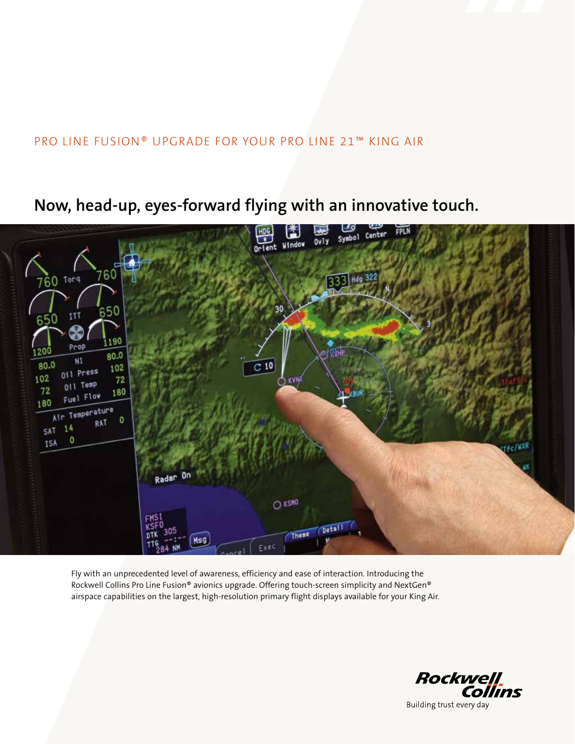### PRO LINE FUSION® UPGRADE FOR YOUR PRO LINE 21™ KING AIR

## **Now, head-up, eyes-forward flying with an innovative touch.**



Fly with an unprecedented level of awareness, efficiency and ease of interaction. Introducing the Rockwell Collins Pro Line Fusion® avionics upgrade. Offering touch-screen simplicity and NextGen® airspace capabilities on the largest, high-resolution primary flight displays available for your King Air.

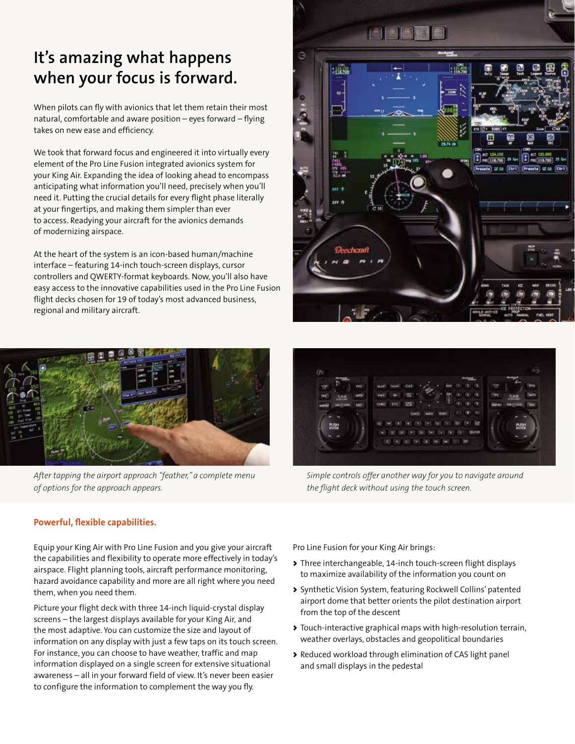# **It's amazing what happens when your focus is forward.**

When pilots can fly with avionics that let them retain their most natural, comfortable and aware position – eyes forward – flying takes on new ease and efficiency.

We took that forward focus and engineered it into virtually every element of the Pro Line Fusion integrated avionics system for your King Air. Expanding the idea of looking ahead to encompass anticipating what information you'll need, precisely when you'll need it. Putting the crucial details for every flight phase literally at your fingertips, and making them simpler than ever to access. Readying your aircraft for the avionics demands of modernizing airspace.

At the heart of the system is an icon-based human/machine interface – featuring 14-inch touch-screen displays, cursor controllers and QWERTY-format keyboards. Now, you'll also have easy access to the innovative capabilities used in the Pro Line Fusion flight decks chosen for 19 of today's most advanced business, regional and military aircraft.



*After tapping the airport approach "feather," a complete menu of options for the approach appears.*



B for PHE 118,700 ta ursa (Ctrl)

**Free** 

te as City

*Simple controls offer another way for you to navigate around the flight deck without using the touch screen.*

#### **Powerful, flexible capabilities.**

Equip your King Air with Pro Line Fusion and you give your aircraft the capabilities and flexibility to operate more effectively in today's airspace. Flight planning tools, aircraft performance monitoring, hazard avoidance capability and more are all right where you need them, when you need them.

Picture your flight deck with three 14-inch liquid-crystal display screens – the largest displays available for your King Air, and the most adaptive. You can customize the size and layout of information on any display with just a few taps on its touch screen. For instance, you can choose to have weather, traffic and map information displayed on a single screen for extensive situational awareness – all in your forward field of view. It's never been easier to configure the information to complement the way you fly.

Pro Line Fusion for your King Air brings:

Ġ

nia 19.<br>Historia

**Deechcraft** 

- > Three interchangeable, 14-inch touch-screen flight displays to maximize availability of the information you count on
- > Synthetic Vision System, featuring Rockwell Collins' patented airport dome that better orients the pilot destination airport from the top of the descent
- > Touch-interactive graphical maps with high-resolution terrain, weather overlays, obstacles and geopolitical boundaries
- > Reduced workload through elimination of CAS light panel and small displays in the pedestal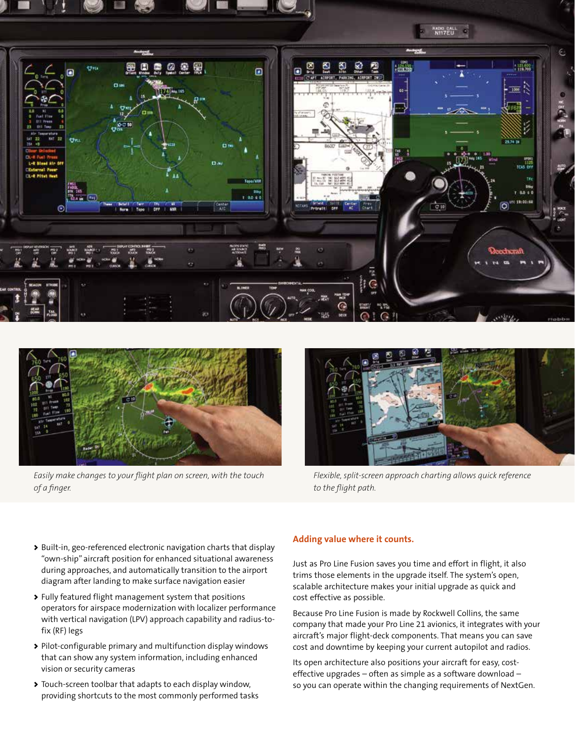



*Easily make changes to your flight plan on screen, with the touch of a finger.*



*Flexible, split-screen approach charting allows quick reference to the flight path.*

- > Built-in, geo-referenced electronic navigation charts that display "own-ship" aircraft position for enhanced situational awareness during approaches, and automatically transition to the airport diagram after landing to make surface navigation easier
- > Fully featured flight management system that positions operators for airspace modernization with localizer performance with vertical navigation (LPV) approach capability and radius-tofix (RF) legs
- > Pilot-configurable primary and multifunction display windows that can show any system information, including enhanced vision or security cameras
- > Touch-screen toolbar that adapts to each display window, providing shortcuts to the most commonly performed tasks

#### **Adding value where it counts.**

Just as Pro Line Fusion saves you time and effort in flight, it also trims those elements in the upgrade itself. The system's open, scalable architecture makes your initial upgrade as quick and cost effective as possible.

Because Pro Line Fusion is made by Rockwell Collins, the same company that made your Pro Line 21 avionics, it integrates with your aircraft's major flight-deck components. That means you can save cost and downtime by keeping your current autopilot and radios.

Its open architecture also positions your aircraft for easy, costeffective upgrades – often as simple as a software download – so you can operate within the changing requirements of NextGen.